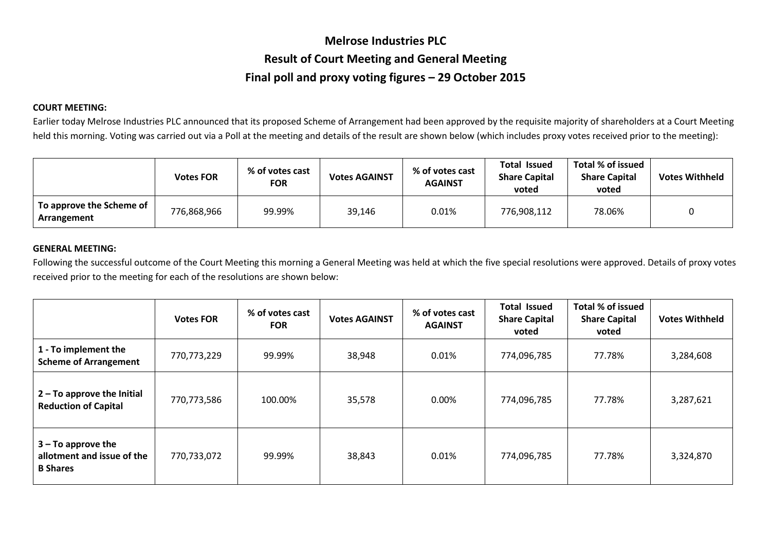## **Melrose Industries PLC Result of Court Meeting and General Meeting Final poll and proxy voting figures – 29 October 2015**

## **COURT MEETING:**

Earlier today Melrose Industries PLC announced that its proposed Scheme of Arrangement had been approved by the requisite majority of shareholders at a Court Meeting held this morning. Voting was carried out via a Poll at the meeting and details of the result are shown below (which includes proxy votes received prior to the meeting):

|                                         | <b>Votes FOR</b> | % of votes cast<br><b>FOR</b> | <b>Votes AGAINST</b> | % of votes cast<br><b>AGAINST</b> | <b>Total Issued</b><br><b>Share Capital</b><br>voted | Total % of issued<br><b>Share Capital</b><br>voted | <b>Votes Withheld</b> |
|-----------------------------------------|------------------|-------------------------------|----------------------|-----------------------------------|------------------------------------------------------|----------------------------------------------------|-----------------------|
| To approve the Scheme of<br>Arrangement | 776,868,966      | 99.99%                        | 39,146               | 0.01%                             | 776,908,112                                          | 78.06%                                             |                       |

## **GENERAL MEETING:**

Following the successful outcome of the Court Meeting this morning a General Meeting was held at which the five special resolutions were approved. Details of proxy votes received prior to the meeting for each of the resolutions are shown below:

|                                                                       | <b>Votes FOR</b> | % of votes cast<br><b>FOR</b> | <b>Votes AGAINST</b> | % of votes cast<br><b>AGAINST</b> | <b>Total Issued</b><br><b>Share Capital</b><br>voted | Total % of issued<br><b>Share Capital</b><br>voted | <b>Votes Withheld</b> |
|-----------------------------------------------------------------------|------------------|-------------------------------|----------------------|-----------------------------------|------------------------------------------------------|----------------------------------------------------|-----------------------|
| 1 - To implement the<br><b>Scheme of Arrangement</b>                  | 770,773,229      | 99.99%                        | 38,948               | 0.01%                             | 774,096,785                                          | 77.78%                                             | 3,284,608             |
| $2 - To$ approve the Initial<br><b>Reduction of Capital</b>           | 770,773,586      | 100.00%                       | 35,578               | $0.00\%$                          | 774,096,785                                          | 77.78%                                             | 3,287,621             |
| $3 - To$ approve the<br>allotment and issue of the<br><b>B</b> Shares | 770,733,072      | 99.99%                        | 38,843               | 0.01%                             | 774,096,785                                          | 77.78%                                             | 3,324,870             |